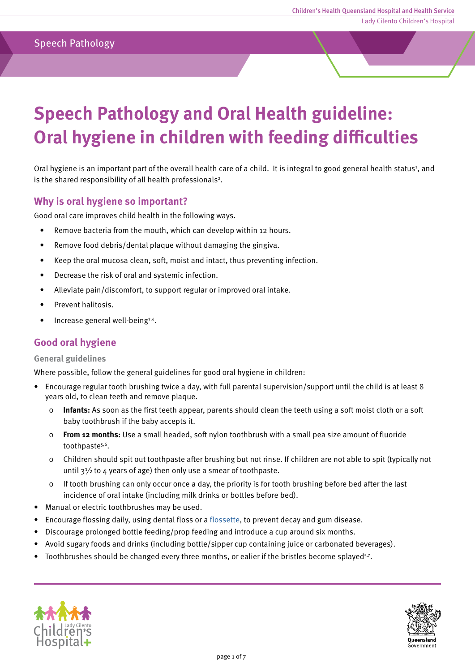### Speech Pathology

# **Speech Pathology and Oral Health guideline: Oral hygiene in children with feeding difficulties**

Oral hygiene is an important part of the overall health care of a child. It is integral to good general health status<sup>1</sup>, and is the shared responsibility of all health professionals<sup>2</sup>.

#### **Why is oral hygiene so important?**

Good oral care improves child health in the following ways.

- Remove bacteria from the mouth, which can develop within 12 hours.
- Remove food debris/dental plaque without damaging the gingiva.
- Keep the oral mucosa clean, soft, moist and intact, thus preventing infection.
- Decrease the risk of oral and systemic infection.
- Alleviate pain/discomfort, to support regular or improved oral intake.
- Prevent halitosis.
- Increase general well-being3,4.

#### **Good oral hygiene**

#### **General guidelines**

Where possible, follow the general guidelines for good oral hygiene in children:

- Encourage regular tooth brushing twice a day, with full parental supervision/support until the child is at least 8 years old, to clean teeth and remove plaque.
	- 0 **Infants:** As soon as the first teeth appear, parents should clean the teeth using a soft moist cloth or a soft baby toothbrush if the baby accepts it.
	- 0 **From 12 months:** Use a small headed, soft nylon toothbrush with a small pea size amount of fluoride toothpaste<sup>5,6</sup>.
	- 0 Children should spit out toothpaste after brushing but not rinse. If children are not able to spit (typically not until  $3\frac{1}{2}$  to 4 years of age) then only use a smear of toothpaste.
	- 0 If tooth brushing can only occur once a day, the priority is for tooth brushing before bed after the last incidence of oral intake (including milk drinks or bottles before bed).
- Manual or electric toothbrushes may be used.
- Encourage flossing daily, using dental floss or a [flossette,](#page-5-0) to prevent decay and gum disease.
- Discourage prolonged bottle feeding/prop feeding and introduce a cup around six months.
- Avoid sugary foods and drinks (including bottle/sipper cup containing juice or carbonated beverages).
- Toothbrushes should be changed every three months, or ealier if the bristles become splayed<sup>5,7</sup>.



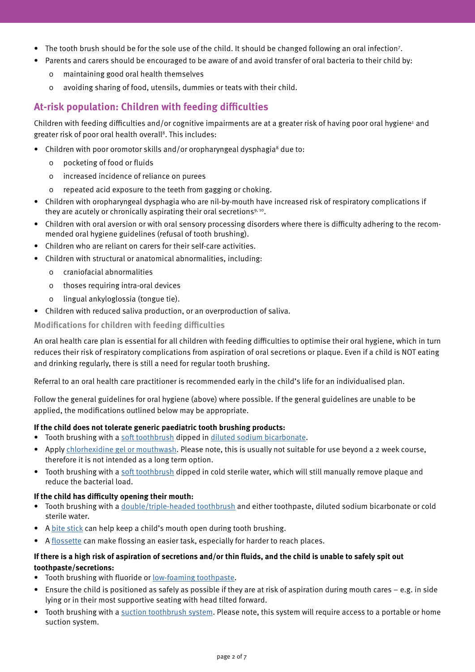- The tooth brush should be for the sole use of the child. It should be changed following an oral infection<sup>7</sup>.
- Parents and carers should be encouraged to be aware of and avoid transfer of oral bacteria to their child by:
	- 0 maintaining good oral health themselves
	- 0 avoiding sharing of food, utensils, dummies or teats with their child.

## **At-risk population: Children with feeding difficulties**

Children with feeding difficulties and/or cognitive impairments are at a greater risk of having poor oral hygiene<sup>1</sup> and greater risk of poor oral health overall<sup>8</sup>. This includes:

- Children with poor oromotor skills and/or oropharyngeal dysphagia<sup>8</sup> due to:
	- 0 pocketing of food or fluids
	- 0 increased incidence of reliance on purees
	- 0 repeated acid exposure to the teeth from gagging or choking.
- Children with oropharyngeal dysphagia who are nil-by-mouth have increased risk of respiratory complications if they are acutely or chronically aspirating their oral secretions<sup>9, 10</sup>.
- Children with oral aversion or with oral sensory processing disorders where there is difficulty adhering to the recommended oral hygiene guidelines (refusal of tooth brushing).
- Children who are reliant on carers for their self-care activities.
- Children with structural or anatomical abnormalities, including:
	- 0 craniofacial abnormalities
	- 0 thoses requiring intra-oral devices
	- 0 lingual ankyloglossia (tongue tie).
- Children with reduced saliva production, or an overproduction of saliva.

**Modifications for children with feeding difficulties** 

An oral health care plan is essential for all children with feeding difficulties to optimise their oral hygiene, which in turn reduces their risk of respiratory complications from aspiration of oral secretions or plaque. Even if a child is NOT eating and drinking regularly, there is still a need for regular tooth brushing.

Referral to an oral health care practitioner is recommended early in the child's life for an individualised plan.

Follow the general guidelines for oral hygiene (above) where possible. If the general guidelines are unable to be applied, the modifications outlined below may be appropriate.

#### **If the child does not tolerate generic paediatric tooth brushing products:**

- Tooth brushing with a [soft toothbrush d](#page-4-0)ipped in [diluted sodium bicarbonate.](#page-6-0)
- Apply [chlorhexidine gel or mouthwash.](#page-6-0) Please note, this is usually not suitable for use beyond a 2 week course, therefore it is not intended as a long term option.
- Tooth brushing with a [soft toothbrush d](#page-4-0)ipped in cold sterile water, which will still manually remove plaque and reduce the bacterial load.

#### **If the child has difficulty opening their mouth:**

- Tooth brushing with a *double/triple-headed toothbrush* and either toothpaste, diluted sodium bicarbonate or cold sterile water.
- A [bite stick c](#page-5-0)an help keep a child's mouth open during tooth brushing.
- [A flossette c](#page-5-0)an make flossing an easier task, especially for harder to reach places.

#### **If there is a high risk of aspiration of secretions and/or thin fluids, and the child is unable to safely spit out toothpaste/secretions:**

- Tooth brushing with fluoride or [low-foaming toothpaste.](#page-6-0)
- Ensure the child is positioned as safely as possible if they are at risk of aspiration during mouth cares e.g. in side lying or in their most supportive seating with head tilted forward.
- Tooth brushing with a [suction toothbrush system.](#page-4-0) Please note, this system will require access to a portable or home suction system.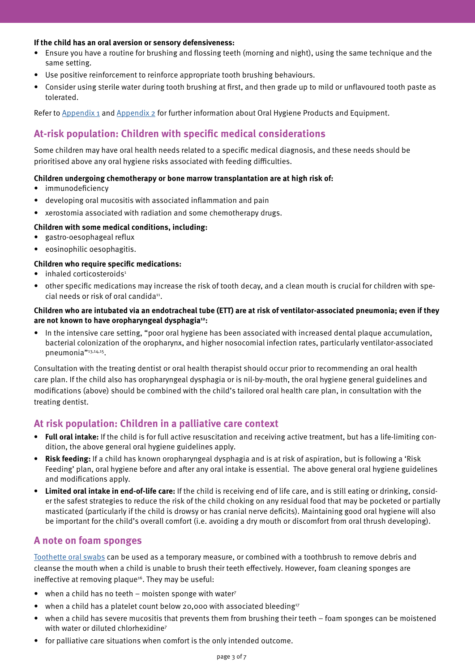#### **If the child has an oral aversion or sensory defensiveness:**

- Ensure you have a routine for brushing and flossing teeth (morning and night), using the same technique and the same setting.
- Use positive reinforcement to reinforce appropriate tooth brushing behaviours.
- Consider using sterile water during tooth brushing at first, and then grade up to mild or unflavoured tooth paste as tolerated.

Refer to [Appendix 1 a](#page-4-0)nd [Appendix 2](#page-6-0) for further information about Oral Hygiene Products and Equipment.

# **At-risk population: Children with specific medical considerations**

Some children may have oral health needs related to a specific medical diagnosis, and these needs should be prioritised above any oral hygiene risks associated with feeding difficulties.

#### **Children undergoing chemotherapy or bone marrow transplantation are at high risk of:**

- immunodeficiency
- developing oral mucositis with associated inflammation and pain
- xerostomia associated with radiation and some chemotherapy drugs.

#### **Children with some medical conditions, including:**

- gastro-oesophageal reflux
- eosinophilic oesophagitis.

#### **Children who require specific medications:**

- $\bullet$  inhaled corticosteroids<sup>1</sup>
- other specific medications may increase the risk of tooth decay, and a clean mouth is crucial for children with special needs or risk of oral candida<sup>11</sup>.

#### **Children who are intubated via an endotracheal tube (ETT) are at risk of ventilator-associated pneumonia; even if they are not known to have oropharyngeal dysphagia12:**

• In the intensive care setting, "poor oral hygiene has been associated with increased dental plaque accumulation, bacterial colonization of the oropharynx, and higher nosocomial infection rates, particularly ventilator-associated pneumonia"13,14,15.

Consultation with the treating dentist or oral health therapist should occur prior to recommending an oral health care plan. If the child also has oropharyngeal dysphagia or is nil-by-mouth, the oral hygiene general guidelines and modifications (above) should be combined with the child's tailored oral health care plan, in consultation with the treating dentist.

#### **At risk population: Children in a palliative care context**

- **• Full oral intake:** If the child is for full active resuscitation and receiving active treatment, but has a life-limiting condition, the above general oral hygiene guidelines apply.
- **• Risk feeding:** If a child has known oropharyngeal dysphagia and is at risk of aspiration, but is following a 'Risk Feeding' plan, oral hygiene before and after any oral intake is essential. The above general oral hygiene guidelines and modifications apply.
- **• Limited oral intake in end-of-life care:** If the child is receiving end of life care, and is still eating or drinking, consider the safest strategies to reduce the risk of the child choking on any residual food that may be pocketed or partially masticated (particularly if the child is drowsy or has cranial nerve deficits). Maintaining good oral hygiene will also be important for the child's overall comfort (i.e. avoiding a dry mouth or discomfort from oral thrush developing).

#### **A note on foam sponges**

[Toothette oral swabs c](#page-5-0)an be used as a temporary measure, or combined with a toothbrush to remove debris and cleanse the mouth when a child is unable to brush their teeth effectively. However, foam cleaning sponges are ineffective at removing plaque<sup>16</sup>. They may be useful:

- when a child has no teeth moisten sponge with water<sup>7</sup>
- when a child has a platelet count below 20,000 with associated bleeding<sup>17</sup>
- when a child has severe mucositis that prevents them from brushing their teeth foam sponges can be moistened with water or diluted chlorhexidine<sup>7</sup>
- for palliative care situations when comfort is the only intended outcome.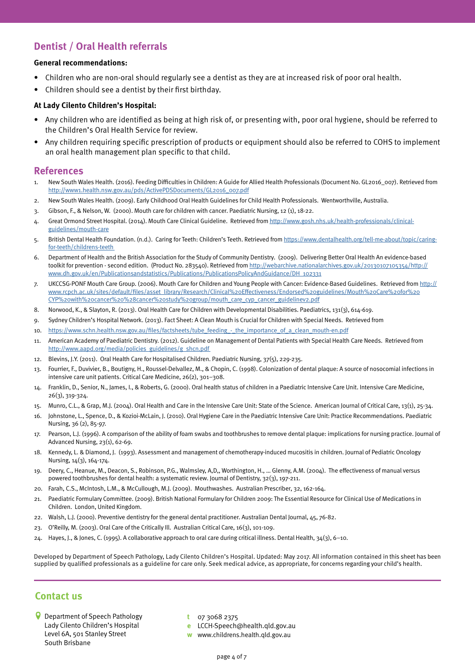# **Dentist / Oral Health referrals**

#### **General recommendations:**

- Children who are non-oral should regularly see a dentist as they are at increased risk of poor oral health.
- Children should see a dentist by their first birthday.

#### **At Lady Cilento Children's Hospital:**

- Any children who are identified as being at high risk of, or presenting with, poor oral hygiene, should be referred to the Children's Oral Health Service for review.
- Any children requiring specific prescription of products or equipment should also be referred to COHS to implement an oral health management plan specific to that child.

#### **References**

- 1. New South Wales Health. (2016). Feeding Difficulties in Children: A Guide for Allied Health Professionals (Document No. GL2016\_007). Retrieved from [http://www1.health.nsw.gov.au/pds/ActivePDSDocuments/GL2016\\_007.pdf](http://www1.health.nsw.gov.au/pds/ActivePDSDocuments/GL2016_007.pdf)
- 2. New South Wales Health. (2009). Early Childhood Oral Health Guidelines for Child Health Professionals. Wentworthville, Australia.
- 3. Gibson, F., & Nelson, W. (2000). Mouth care for children with cancer. Paediatric Nursing, 12 (1), 18-22.
- 4. Great Ormond Street Hospital. (2014). Mouth Care Clinical Guideline. Retrieved from [http://www.gosh.nhs.uk/health-professionals/clinical](http://www.gosh.nhs.uk/health-professionals/clinical-guidelines/mouth-care)[guidelines/mouth-care](http://www.gosh.nhs.uk/health-professionals/clinical-guidelines/mouth-care)
- 5. British Dental Health Foundation. (n.d.). Caring for Teeth: Children's Teeth. Retrieved from [https://www.dentalhealth.org/tell-me-about/topic/caring](https://www.dentalhealth.org/tell-me-about/topic/caring-for-teeth/childrens-teeth )[for-teeth/childrens-teeth](https://www.dentalhealth.org/tell-me-about/topic/caring-for-teeth/childrens-teeth )
- 6. Department of Health and the British Association for the Study of Community Dentistry. (2009). Delivering Better Oral Health An evidence-based toolkit for prevention - second edition. (Product No. 283540). Retrieved from [http://webarchive.nationalarchives.gov.uk/20130107105354/http://](http://webarchive.nationalarchives.gov.uk/20130107105354/http://www.dh.gov.uk/en/Publicationsandstatistics/Publications/PublicationsPolicyAndGuidance/DH_102331 ) [www.dh.gov.uk/en/Publicationsandstatistics/Publications/PublicationsPolicyAndGuidance/DH\\_102331](http://webarchive.nationalarchives.gov.uk/20130107105354/http://www.dh.gov.uk/en/Publicationsandstatistics/Publications/PublicationsPolicyAndGuidance/DH_102331 )
- 7. UKCCSG-PONF Mouth Care Group. (2006). Mouth Care for Children and Young People with Cancer: Evidence-Based Guidelines. Retrieved from [http://](http://www.rcpch.ac.uk/sites/default/files/asset_library/Research/Clinical%20Effectiveness/Endorsed%20guidelines/Mouth%20Care%20for%20CYP%20with%20cancer%20%28cancer%20study%20group/mouth_care_cyp_cancer_guidelinev2.pdf ) [www.rcpch.ac.uk/sites/default/files/asset\\_library/Research/Clinical%20Effectiveness/Endorsed%20guidelines/Mouth%20Care%20for%20](http://www.rcpch.ac.uk/sites/default/files/asset_library/Research/Clinical%20Effectiveness/Endorsed%20guidelines/Mouth%20Care%20for%20CYP%20with%20cancer%20%28cancer%20study%20group/mouth_care_cyp_cancer_guidelinev2.pdf ) [CYP%20with%20cancer%20%28cancer%20study%20group/mouth\\_care\\_cyp\\_cancer\\_guidelinev2.pdf](http://www.rcpch.ac.uk/sites/default/files/asset_library/Research/Clinical%20Effectiveness/Endorsed%20guidelines/Mouth%20Care%20for%20CYP%20with%20cancer%20%28cancer%20study%20group/mouth_care_cyp_cancer_guidelinev2.pdf )
- 8. Norwood, K., & Slayton, R. (2013). Oral Health Care for Children with Developmental Disabilities. Paediatrics, 131(3), 614-619.
- 9. Sydney Children's Hospital Network. (2013). Fact Sheet: A Clean Mouth is Crucial for Children with Special Needs. Retrieved from
- 10. [https://www.schn.health.nsw.gov.au/files/factsheets/tube\\_feeding\\_-\\_the\\_importance\\_of\\_a\\_clean\\_mouth-en.pdf](https://www.schn.health.nsw.gov.au/files/factsheets/tube_feeding_-_the_importance_of_a_clean_mouth-en.pdf)
- 11. American Academy of Paediatric Dentistry. (2012). Guideline on Management of Dental Patients with Special Health Care Needs. Retrieved from [http://www.aapd.org/media/policies\\_guidelines/g\\_shcn.pdf](http://www.aapd.org/media/policies_guidelines/g_shcn.pdf  )
- 12. Blevins, J.Y. (2011). Oral Health Care for Hospitalised Children. Paediatric Nursing, 37(5), 229-235.
- 13. Fourrier, F., Duvivier, B., Boutigny, H., Roussel-Delvallez, M., & Chopin, C. (1998). Colonization of dental plaque: A source of nosocomial infections in intensive care unit patients. Critical Care Medicine, 26(2), 301–308.
- 14. Franklin, D., Senior, N., James, I., & Roberts, G. (2000). Oral health status of children in a Paediatric Intensive Care Unit. Intensive Care Medicine, 26(3), 319-324.
- 15. Munro, C.L., & Grap, M.J. (2004). Oral Health and Care in the Intensive Care Unit: State of the Science. American Journal of Critical Care, 13(1), 25-34.
- 16. Johnstone, L., Spence, D., & Kozioi-McLain, J. (2010). Oral Hygiene Care in the Paediatric Intensive Care Unit: Practice Recommendations. Paediatric Nursing, 36 (2), 85-97.
- 17. Pearson, L.J. (1996). A comparison of the ability of foam swabs and toothbrushes to remove dental plaque: implications for nursing practice. Journal of Advanced Nursing, 23(1), 62-69.
- 18. Kennedy, L. & Diamond, J. (1993). Assessment and management of chemotherapy-induced mucositis in children. Journal of Pediatric Oncology Nursing, 14(3), 164-174.
- 19. Deery, C., Heanue, M., Deacon, S., Robinson, P.G., Walmsley, A,D,, Worthington, H., … Glenny, A.M. (2004). The effectiveness of manual versus powered toothbrushes for dental health: a systematic review. Journal of Dentistry, 32(3), 197-211.
- 20. Farah, C.S., McIntosh, L.M., & McCullough, M.J. (2009). Mouthwashes. Australian Prescriber, 32, 162-164.
- 21. Paediatric Formulary Committee. (2009). British National Formulary for Children 2009: The Essential Resource for Clinical Use of Medications in Children. London, United Kingdom.
- 22. Walsh, L.J. (2000). Preventive dentistry for the general dental practitioner. Australian Dental Journal, 45, 76-82.
- 23. O'Reilly, M. (2003). Oral Care of the Critically Ill. Australian Critical Care, 16(3), 101-109.
- 24. Hayes, J., & Jones, C. (1995). A collaborative approach to oral care during critical illness. Dental Health, 34(3), 6–10.

Developed by Department of Speech Pathology, Lady Cilento Children's Hospital. Updated: May 2017. All information contained in this sheet has been supplied by qualified professionals as a guideline for care only. Seek medical advice, as appropriate, for concerns regarding your child's health.

#### **Contact us**

- Department of Speech Pathology Lady Cilento Children's Hospital Level 6A, 501 Stanley Street South Brisbane
- **t** 07 3068 2375
- **e** LCCH-Speech@health.qld.gov.au
- **w** www.childrens.health.qld.gov.au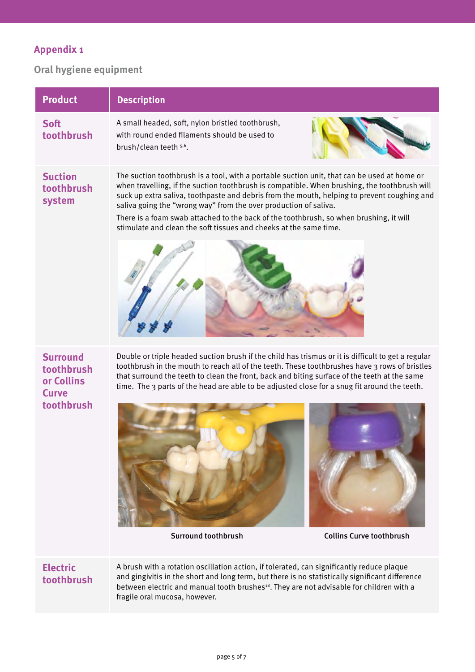# <span id="page-4-0"></span>**Appendix 1**

# **Oral hygiene equipment**

| <b>Product</b>                                                            | <b>Description</b>                                                                                                                                                                                                                                                                                                                                                                                                                                                                                                            |
|---------------------------------------------------------------------------|-------------------------------------------------------------------------------------------------------------------------------------------------------------------------------------------------------------------------------------------------------------------------------------------------------------------------------------------------------------------------------------------------------------------------------------------------------------------------------------------------------------------------------|
| <b>Soft</b><br>toothbrush                                                 | A small headed, soft, nylon bristled toothbrush,<br>with round ended filaments should be used to<br>brush/clean teeth 5,6.                                                                                                                                                                                                                                                                                                                                                                                                    |
| <b>Suction</b><br>toothbrush<br>system                                    | The suction toothbrush is a tool, with a portable suction unit, that can be used at home or<br>when travelling, if the suction toothbrush is compatible. When brushing, the toothbrush will<br>suck up extra saliva, toothpaste and debris from the mouth, helping to prevent coughing and<br>saliva going the "wrong way" from the over production of saliva.<br>There is a foam swab attached to the back of the toothbrush, so when brushing, it will<br>stimulate and clean the soft tissues and cheeks at the same time. |
|                                                                           |                                                                                                                                                                                                                                                                                                                                                                                                                                                                                                                               |
| <b>Surround</b><br>toothbrush<br>or Collins<br><b>Curve</b><br>toothbrush | Double or triple headed suction brush if the child has trismus or it is difficult to get a regular<br>toothbrush in the mouth to reach all of the teeth. These toothbrushes have 3 rows of bristles<br>that surround the teeth to clean the front, back and biting surface of the teeth at the same<br>time. The 3 parts of the head are able to be adjusted close for a snug fit around the teeth.                                                                                                                           |

# **Electric**

**toothbrush**

A brush with a rotation oscillation action, if tolerated, can significantly reduce plaque and gingivitis in the short and long term, but there is no statistically significant difference between electric and manual tooth brushes<sup>18</sup>. They are not advisable for children with a fragile oral mucosa, however.

Surround toothbrush Collins Curve toothbrush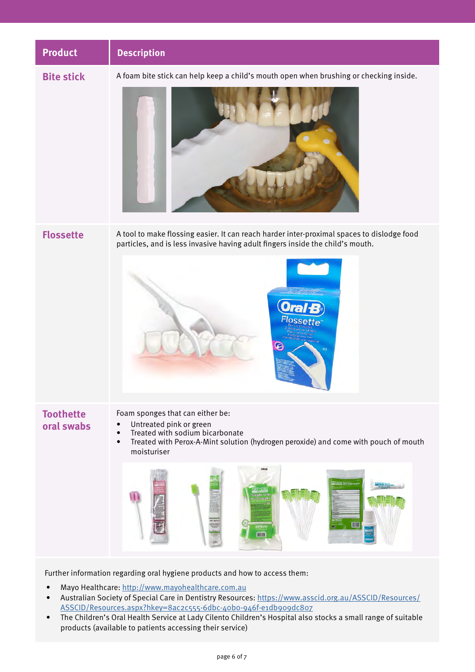<span id="page-5-0"></span>

Further information regarding oral hygiene products and how to access them:

- Mayo Healthcare:<http://www.mayohealthcare.com.au>
- Australian Society of Special Care in Dentistry Resources: [https://www.asscid.org.au/ASSCID/Resources/](https://www.asscid.org.au/ASSCID/Resources/ASSCID/Resources.aspx?hkey=8ac2c555-6dbc-40b0-946f-e1db909dc807) [ASSCID/Resources.aspx?hkey=8ac2c555-6dbc-40b0-946f-e1db909dc807](https://www.asscid.org.au/ASSCID/Resources/ASSCID/Resources.aspx?hkey=8ac2c555-6dbc-40b0-946f-e1db909dc807)
- The Children's Oral Health Service at Lady Cilento Children's Hospital also stocks a small range of suitable products (available to patients accessing their service)